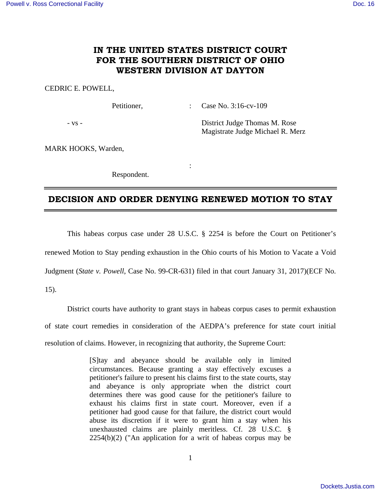## **IN THE UNITED STATES DISTRICT COURT FOR THE SOUTHERN DISTRICT OF OHIO WESTERN DIVISION AT DAYTON**

## CEDRIC E. POWELL,

Petitioner, : Case No. 3:16-cv-109

- vs - District Judge Thomas M. Rose Magistrate Judge Michael R. Merz

MARK HOOKS, Warden,

Respondent.

**Service State State State** 

## **DECISION AND ORDER DENYING RENEWED MOTION TO STAY**

 This habeas corpus case under 28 U.S.C. § 2254 is before the Court on Petitioner's renewed Motion to Stay pending exhaustion in the Ohio courts of his Motion to Vacate a Void Judgment (*State v. Powell*, Case No. 99-CR-631) filed in that court January 31, 2017)(ECF No.

15).

 District courts have authority to grant stays in habeas corpus cases to permit exhaustion of state court remedies in consideration of the AEDPA's preference for state court initial resolution of claims. However, in recognizing that authority, the Supreme Court:

> [S]tay and abeyance should be available only in limited circumstances. Because granting a stay effectively excuses a petitioner's failure to present his claims first to the state courts, stay and abeyance is only appropriate when the district court determines there was good cause for the petitioner's failure to exhaust his claims first in state court. Moreover, even if a petitioner had good cause for that failure, the district court would abuse its discretion if it were to grant him a stay when his unexhausted claims are plainly meritless. Cf. 28 U.S.C. § 2254(b)(2) ("An application for a writ of habeas corpus may be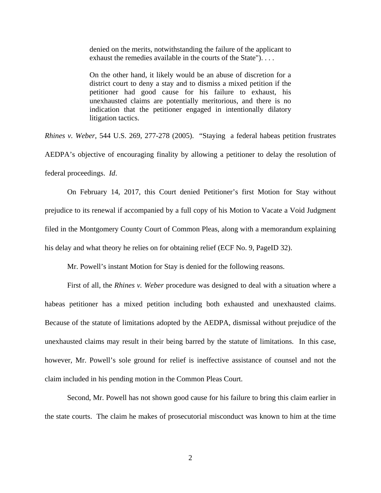denied on the merits, notwithstanding the failure of the applicant to exhaust the remedies available in the courts of the State"). . . .

On the other hand, it likely would be an abuse of discretion for a district court to deny a stay and to dismiss a mixed petition if the petitioner had good cause for his failure to exhaust, his unexhausted claims are potentially meritorious, and there is no indication that the petitioner engaged in intentionally dilatory litigation tactics.

*Rhines v. Weber*, 544 U.S. 269, 277-278 (2005). "Staying a federal habeas petition frustrates AEDPA's objective of encouraging finality by allowing a petitioner to delay the resolution of federal proceedings. *Id*.

 On February 14, 2017, this Court denied Petitioner's first Motion for Stay without prejudice to its renewal if accompanied by a full copy of his Motion to Vacate a Void Judgment filed in the Montgomery County Court of Common Pleas, along with a memorandum explaining his delay and what theory he relies on for obtaining relief (ECF No. 9, PageID 32).

Mr. Powell's instant Motion for Stay is denied for the following reasons.

 First of all, the *Rhines v. Weber* procedure was designed to deal with a situation where a habeas petitioner has a mixed petition including both exhausted and unexhausted claims. Because of the statute of limitations adopted by the AEDPA, dismissal without prejudice of the unexhausted claims may result in their being barred by the statute of limitations. In this case, however, Mr. Powell's sole ground for relief is ineffective assistance of counsel and not the claim included in his pending motion in the Common Pleas Court.

 Second, Mr. Powell has not shown good cause for his failure to bring this claim earlier in the state courts. The claim he makes of prosecutorial misconduct was known to him at the time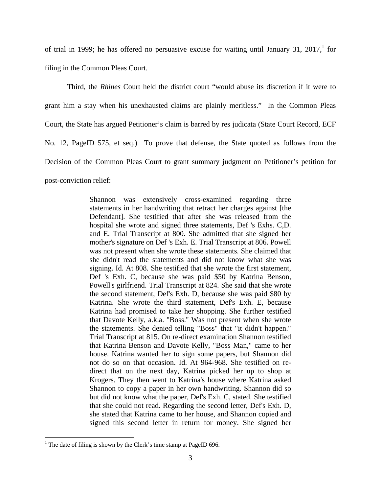of trial in 1999; he has offered no persuasive excuse for waiting until January 31, 2017, for filing in the Common Pleas Court.

 Third, the *Rhines* Court held the district court "would abuse its discretion if it were to grant him a stay when his unexhausted claims are plainly meritless." In the Common Pleas Court, the State has argued Petitioner's claim is barred by res judicata (State Court Record, ECF No. 12, PageID 575, et seq.) To prove that defense, the State quoted as follows from the Decision of the Common Pleas Court to grant summary judgment on Petitioner's petition for post-conviction relief:

> Shannon was extensively cross-examined regarding three statements in her handwriting that retract her charges against [the Defendant]. She testified that after she was released from the hospital she wrote and signed three statements, Def 's Exhs. C,D. and E. Trial Transcript at 800. She admitted that she signed her mother's signature on Def 's Exh. E. Trial Transcript at 806. Powell was not present when she wrote these statements. She claimed that she didn't read the statements and did not know what she was signing. Id. At 808. She testified that she wrote the first statement, Def 's Exh. C, because she was paid \$50 by Katrina Benson, Powell's girlfriend. Trial Transcript at 824. She said that she wrote the second statement, Def's Exh. D, because she was paid \$80 by Katrina. She wrote the third statement, Def's Exh. E, because Katrina had promised to take her shopping. She further testified that Davote Kelly, a.k.a. "Boss.'' Was not present when she wrote the statements. She denied telling "Boss" that "it didn't happen." Trial Transcript at 815. On re-direct examination Shannon testified that Katrina Benson and Davote Kelly, "Boss Man," came to her house. Katrina wanted her to sign some papers, but Shannon did not do so on that occasion. Id. At 964-968. She testified on redirect that on the next day, Katrina picked her up to shop at Krogers. They then went to Katrina's house where Katrina asked Shannon to copy a paper in her own handwriting. Shannon did so but did not know what the paper, Def's Exh. C, stated. She testified that she could not read. Regarding the second letter, Def's Exh. D, she stated that Katrina came to her house, and Shannon copied and signed this second letter in return for money. She signed her

 $\overline{a}$ 

<sup>&</sup>lt;sup>1</sup> The date of filing is shown by the Clerk's time stamp at PageID 696.